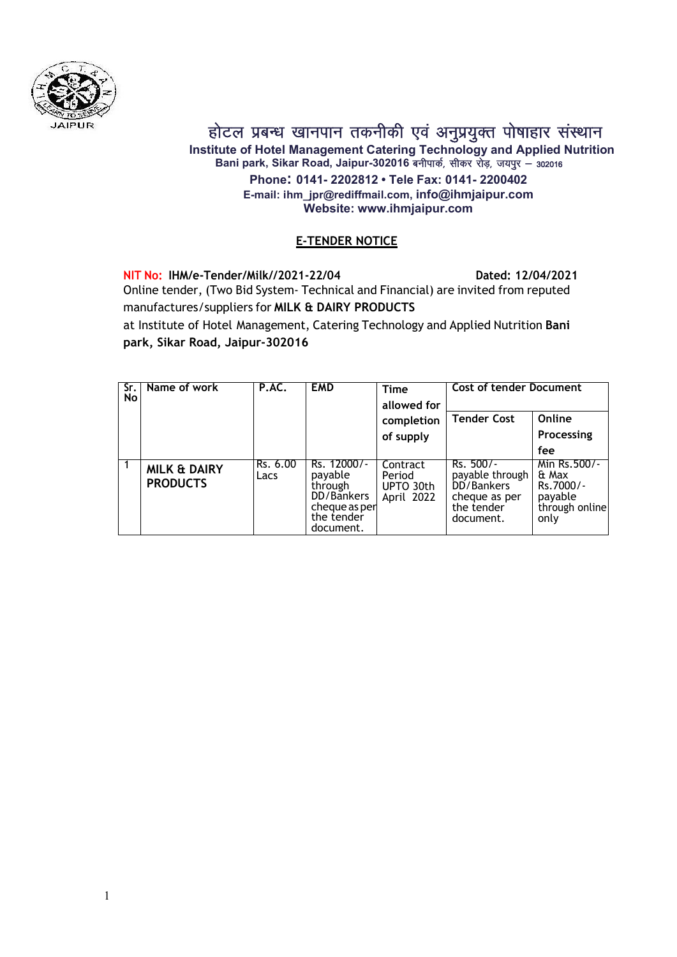

होटल प्रबन्ध खानपान तकनीकी एवं अनुप्रयुक्त पोषाहार संस्थान

Institute of Hotel Management Catering Technology and Applied Nutrition Bani park, Sikar Road, Jaipur-302016 बनीपार्क, सीकर रोड़, जयपुर – 302016 Phone: 0141- 2202812 • Tele Fax: 0141- 2200402 E-mail: ihm\_jpr@rediffmail.com, info@ihmjaipur.com Website: www.ihmjaipur.com

### E-TENDER NOTICE

NIT No: IHM/e-Tender/Milk//2021-22/04 Dated: 12/04/2021 Online tender, (Two Bid System‐ Technical and Financial) are invited from reputed manufactures/suppliers for MILK & DAIRY PRODUCTS at Institute of Hotel Management, Catering Technology and Applied Nutrition Bani park, Sikar Road, Jaipur-302016

| Sr. I<br>No | Name of work                               | P.AC.            | <b>EMD</b>                                                                                  | <b>Time</b><br>allowed for                    | <b>Cost of tender Document</b>                                                           |                                                                         |  |
|-------------|--------------------------------------------|------------------|---------------------------------------------------------------------------------------------|-----------------------------------------------|------------------------------------------------------------------------------------------|-------------------------------------------------------------------------|--|
|             |                                            |                  |                                                                                             | completion                                    | <b>Tender Cost</b>                                                                       | Online                                                                  |  |
|             |                                            |                  |                                                                                             | of supply                                     |                                                                                          | Processing                                                              |  |
|             |                                            |                  |                                                                                             |                                               |                                                                                          | fee                                                                     |  |
|             | <b>MILK &amp; DAIRY</b><br><b>PRODUCTS</b> | Rs. 6.00<br>Lacs | Rs. 12000/-<br>payable<br>through<br>DD/Bankers<br>cheque as per<br>the tender<br>document. | Contract<br>Period<br>UPTO 30th<br>April 2022 | $Rs. 500/-$<br>payable through<br>DD/Bankers<br>cheque as per<br>the tender<br>document. | Min Rs.500/-<br>& Max<br>Rs.7000/-<br>payable<br>through online<br>only |  |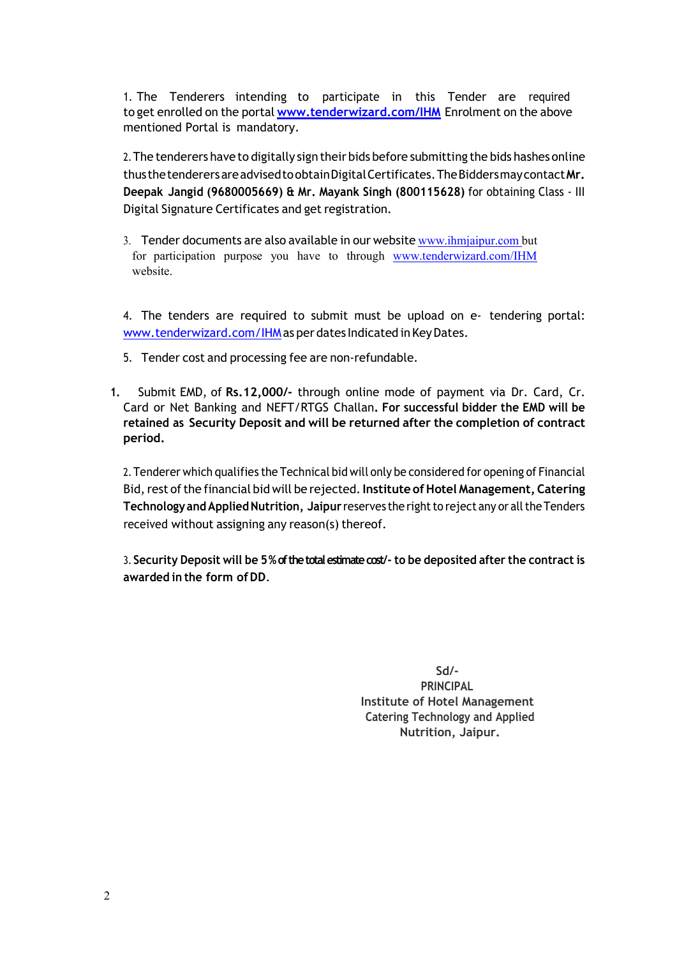1. The Tenderers intending to participate in this Tender are required to get enrolled on the portal **www.tenderwizard.com/IHM** Enrolment on the above mentioned Portal is mandatory.

2.The tenderers have to digitally sign their bids before submitting the bids hashes online thusthetenderersareadvisedtoobtainDigitalCertificates.TheBiddersmaycontactMr. Deepak Jangid (9680005669) & Mr. Mayank Singh (800115628) for obtaining Class ‐ III Digital Signature Certificates and get registration.

3. Tender documents are also available in our website www.ihmjaipur.com but for participation purpose you have to through www.tenderwizard.com/IHM website.

4. The tenders are required to submit must be upload on e‐ tendering portal: www.tenderwizard.com/IHMas per dates Indicated in Key Dates.

- 5. Tender cost and processing fee are non-refundable.
- 1. Submit EMD, of Rs.12,000/- through online mode of payment via Dr. Card, Cr. Card or Net Banking and NEFT/RTGS Challan. For successful bidder the EMD will be retained as Security Deposit and will be returned after the completion of contract period.

2. Tenderer which qualifies the Technical bid will only be considered for opening of Financial Bid, rest of the financial bid will be rejected. Institute of Hotel Management, Catering Technology and Applied Nutrition, Jaipur reserves the right to reject any or all the Tenders received without assigning any reason(s) thereof.

3. Security Deposit will be 5 % of the total estimate cost/- to be deposited after the contract is awarded in the form of DD.

> Sd/- PRINCIPAL Institute of Hotel Management Catering Technology and Applied Nutrition, Jaipur.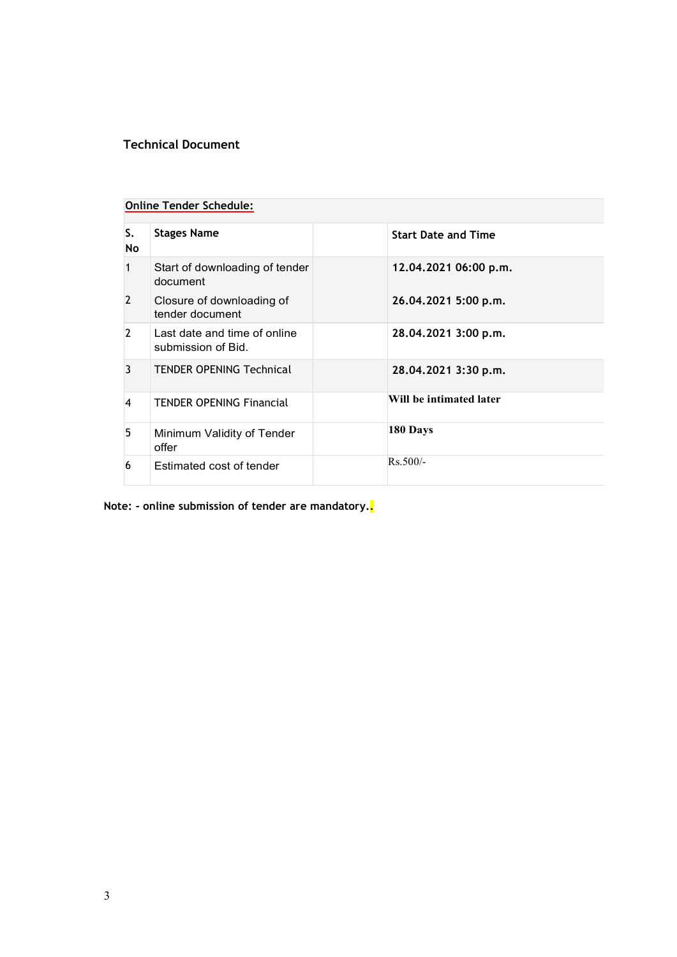### Technical Document

### Online Tender Schedule:

| S.<br>No       | <b>Stages Name</b>                                 | <b>Start Date and Time</b> |
|----------------|----------------------------------------------------|----------------------------|
| 1              | Start of downloading of tender<br>document         | 12.04.2021 06:00 p.m.      |
| $\overline{2}$ | Closure of downloading of<br>tender document       | 26.04.2021 5:00 p.m.       |
| $\mathcal{L}$  | Last date and time of online<br>submission of Bid. | 28.04.2021 3:00 p.m.       |
| 3              | <b>TENDER OPENING Technical</b>                    | 28.04.2021 3:30 p.m.       |
| 4              | <b>TENDER OPENING Financial</b>                    | Will be intimated later    |
| 5              | Minimum Validity of Tender<br>offer                | 180 Days                   |
| 6              | Estimated cost of tender                           | $Rs.500/-$                 |

Note: - online submission of tender are mandatory.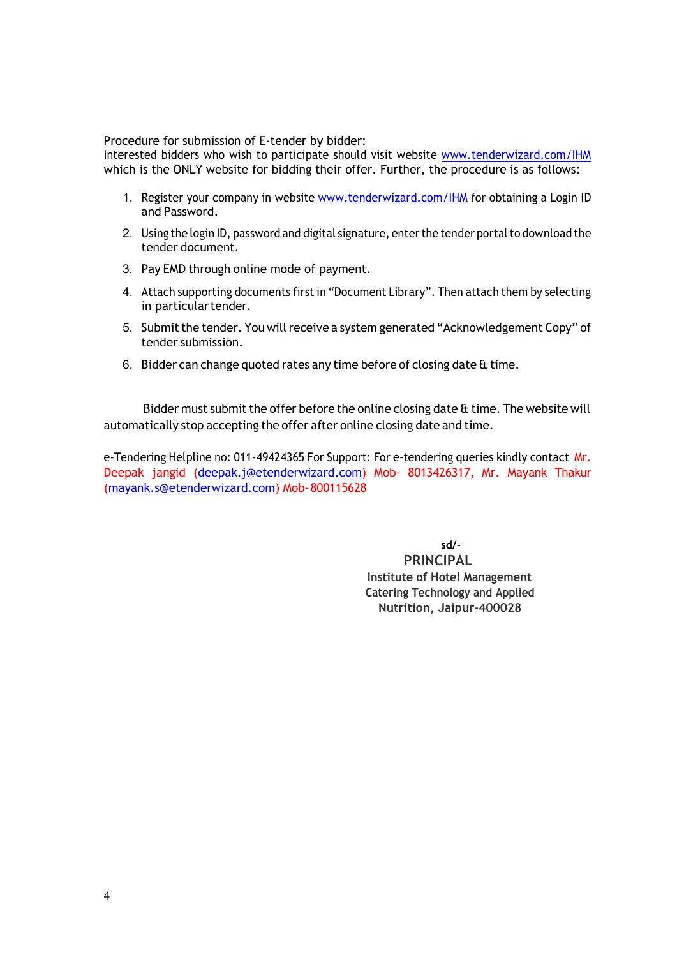Procedure for submission of E‐tender by bidder:

Interested bidders who wish to participate should visit website www.tenderwizard.com/IHM which is the ONLY website for bidding their offer. Further, the procedure is as follows:

- 1. Register your company in website www.tenderwizard.com/IHM for obtaining a Login ID and Password.
- 2. Using the login ID, password and digital signature, enter the tender portal to download the tender document.
- 3. Pay EMD through online mode of payment.
- 4. Attach supporting documents first in "Document Library". Then attach them by selecting in particular tender.
- 5. Submit the tender. You will receive a system generated "Acknowledgement Copy" of tender submission.
- 6. Bidder can change quoted rates any time before of closing date & time.

Bidder must submit the offer before the online closing date  $\alpha$  time. The website will automatically stop accepting the offer after online closing date and time.

e-Tendering Helpline no: 011-49424365 For Support: For e-tendering queries kindly contact Mr. Deepak jangid (deepak.j@etenderwizard.com) Mob‐ 8013426317, Mr. Mayank Thakur (mayank.s@etenderwizard.com) Mob‐800115628

> sd/- PRINCIPAL Institute of Hotel Management Catering Technology and Applied Nutrition, Jaipur-400028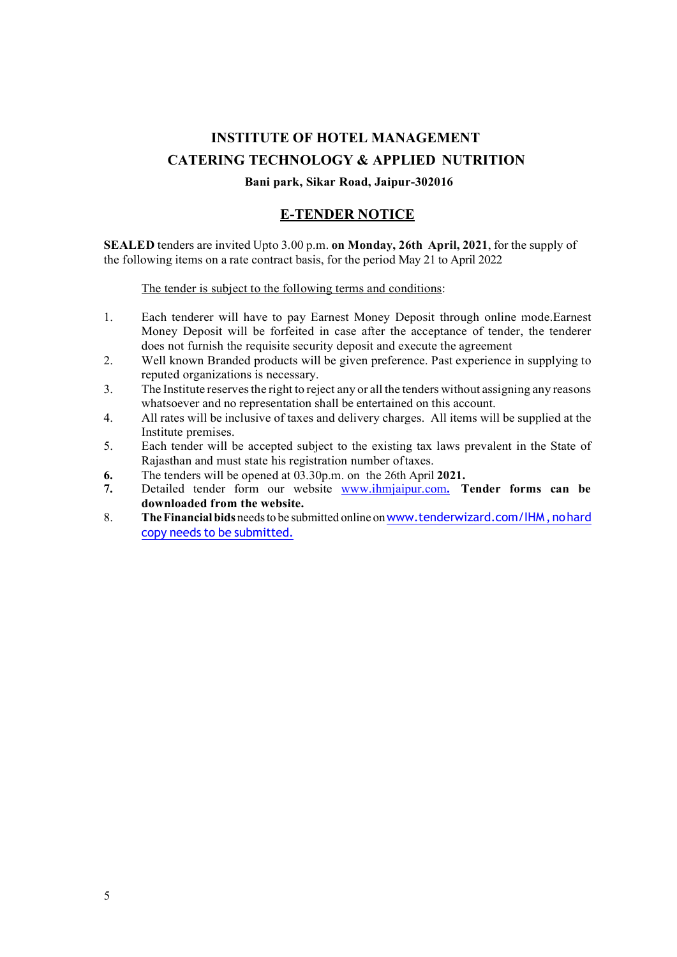# INSTITUTE OF HOTEL MANAGEMENT CATERING TECHNOLOGY & APPLIED NUTRITION

#### Bani park, Sikar Road, Jaipur-302016

### E-TENDER NOTICE

SEALED tenders are invited Upto 3.00 p.m. on Monday, 26th April, 2021, for the supply of the following items on a rate contract basis, for the period May 21 to April 2022

The tender is subject to the following terms and conditions:

- 1. Each tenderer will have to pay Earnest Money Deposit through online mode.Earnest Money Deposit will be forfeited in case after the acceptance of tender, the tenderer does not furnish the requisite security deposit and execute the agreement
- 2. Well known Branded products will be given preference. Past experience in supplying to reputed organizations is necessary.
- 3. The Institute reservesthe right to reject any or all the tenders without assigning any reasons whatsoever and no representation shall be entertained on this account.
- 4. All rates will be inclusive of taxes and delivery charges. All items will be supplied at the Institute premises.
- 5. Each tender will be accepted subject to the existing tax laws prevalent in the State of Rajasthan and must state his registration number oftaxes.
- 6. The tenders will be opened at 03.30p.m. on the 26th April 2021.
- 7. Detailed tender form our website www.ihmjaipur.com. Tender forms can be downloaded from the website.
- 8. The Financial bids needs to be submitted online on www.tenderwizard.com/IHM, no hard copy needs to be submitted.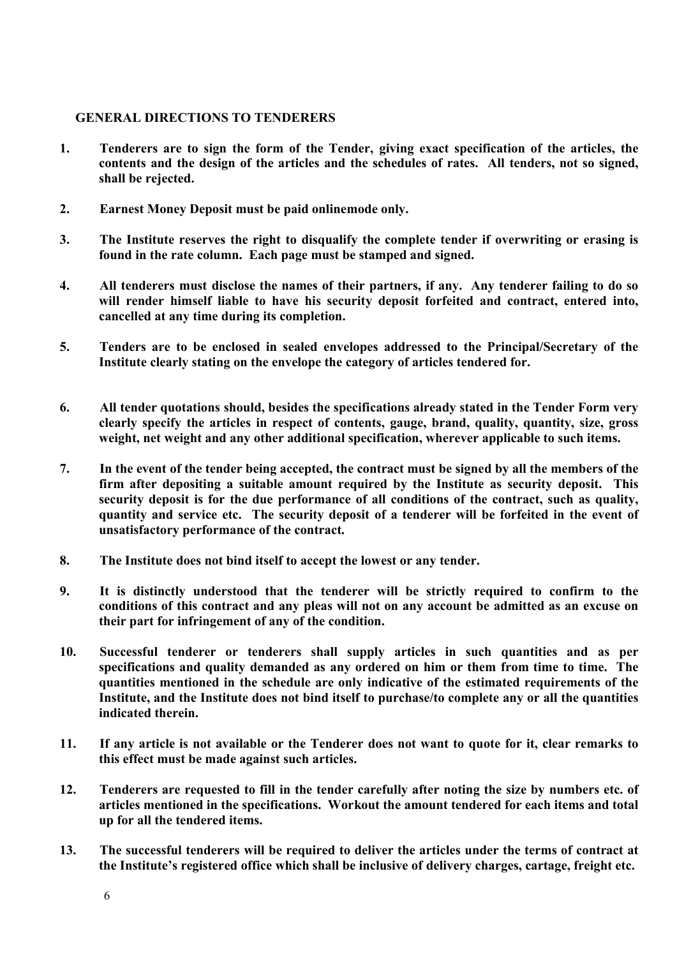### GENERAL DIRECTIONS TO TENDERERS

- 1. Tenderers are to sign the form of the Tender, giving exact specification of the articles, the contents and the design of the articles and the schedules of rates. All tenders, not so signed, shall be rejected.
- 2. Earnest Money Deposit must be paid onlinemode only.
- 3. The Institute reserves the right to disqualify the complete tender if overwriting or erasing is found in the rate column. Each page must be stamped and signed.
- 4. All tenderers must disclose the names of their partners, if any. Any tenderer failing to do so will render himself liable to have his security deposit forfeited and contract, entered into, cancelled at any time during its completion.
- 5. Tenders are to be enclosed in sealed envelopes addressed to the Principal/Secretary of the Institute clearly stating on the envelope the category of articles tendered for.
- 6. All tender quotations should, besides the specifications already stated in the Tender Form very clearly specify the articles in respect of contents, gauge, brand, quality, quantity, size, gross weight, net weight and any other additional specification, wherever applicable to such items.
- 7. In the event of the tender being accepted, the contract must be signed by all the members of the firm after depositing a suitable amount required by the Institute as security deposit. This security deposit is for the due performance of all conditions of the contract, such as quality, quantity and service etc. The security deposit of a tenderer will be forfeited in the event of unsatisfactory performance of the contract.
- 8. The Institute does not bind itself to accept the lowest or any tender.
- 9. It is distinctly understood that the tenderer will be strictly required to confirm to the conditions of this contract and any pleas will not on any account be admitted as an excuse on their part for infringement of any of the condition.
- 10. Successful tenderer or tenderers shall supply articles in such quantities and as per specifications and quality demanded as any ordered on him or them from time to time. The quantities mentioned in the schedule are only indicative of the estimated requirements of the Institute, and the Institute does not bind itself to purchase/to complete any or all the quantities indicated therein.
- 11. If any article is not available or the Tenderer does not want to quote for it, clear remarks to this effect must be made against such articles.
- 12. Tenderers are requested to fill in the tender carefully after noting the size by numbers etc. of articles mentioned in the specifications. Workout the amount tendered for each items and total up for all the tendered items.
- 13. The successful tenderers will be required to deliver the articles under the terms of contract at the Institute's registered office which shall be inclusive of delivery charges, cartage, freight etc.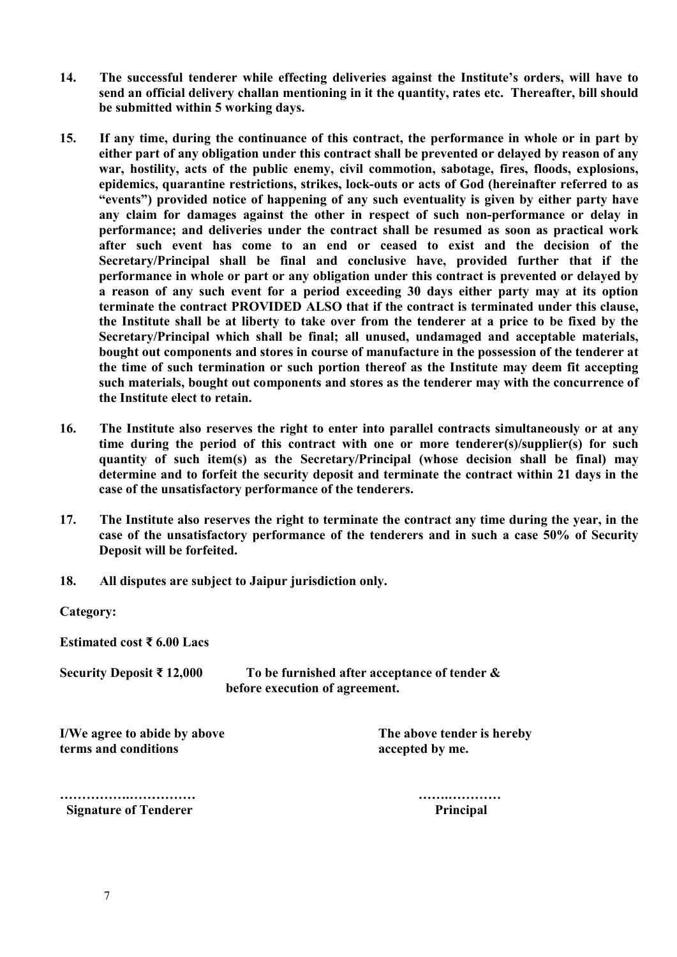- 14. The successful tenderer while effecting deliveries against the Institute's orders, will have to send an official delivery challan mentioning in it the quantity, rates etc. Thereafter, bill should be submitted within 5 working days.
- 15. If any time, during the continuance of this contract, the performance in whole or in part by either part of any obligation under this contract shall be prevented or delayed by reason of any war, hostility, acts of the public enemy, civil commotion, sabotage, fires, floods, explosions, epidemics, quarantine restrictions, strikes, lock-outs or acts of God (hereinafter referred to as "events") provided notice of happening of any such eventuality is given by either party have any claim for damages against the other in respect of such non-performance or delay in performance; and deliveries under the contract shall be resumed as soon as practical work after such event has come to an end or ceased to exist and the decision of the Secretary/Principal shall be final and conclusive have, provided further that if the performance in whole or part or any obligation under this contract is prevented or delayed by a reason of any such event for a period exceeding 30 days either party may at its option terminate the contract PROVIDED ALSO that if the contract is terminated under this clause, the Institute shall be at liberty to take over from the tenderer at a price to be fixed by the Secretary/Principal which shall be final; all unused, undamaged and acceptable materials, bought out components and stores in course of manufacture in the possession of the tenderer at the time of such termination or such portion thereof as the Institute may deem fit accepting such materials, bought out components and stores as the tenderer may with the concurrence of the Institute elect to retain.
- 16. The Institute also reserves the right to enter into parallel contracts simultaneously or at any time during the period of this contract with one or more tenderer(s)/supplier(s) for such quantity of such item(s) as the Secretary/Principal (whose decision shall be final) may determine and to forfeit the security deposit and terminate the contract within 21 days in the case of the unsatisfactory performance of the tenderers.
- 17. The Institute also reserves the right to terminate the contract any time during the year, in the case of the unsatisfactory performance of the tenderers and in such a case 50% of Security Deposit will be forfeited.
- 18. All disputes are subject to Jaipur jurisdiction only.

Category:

Estimated cost ₹ 6.00 Lacs

Security Deposit  $\bar{\tau}$  12.000 To be furnished after acceptance of tender & before execution of agreement.

I/We agree to abide by above The above tender is hereby terms and conditions accepted by me.

Signature of Tenderer **Principal** 

…………….…………… …….…………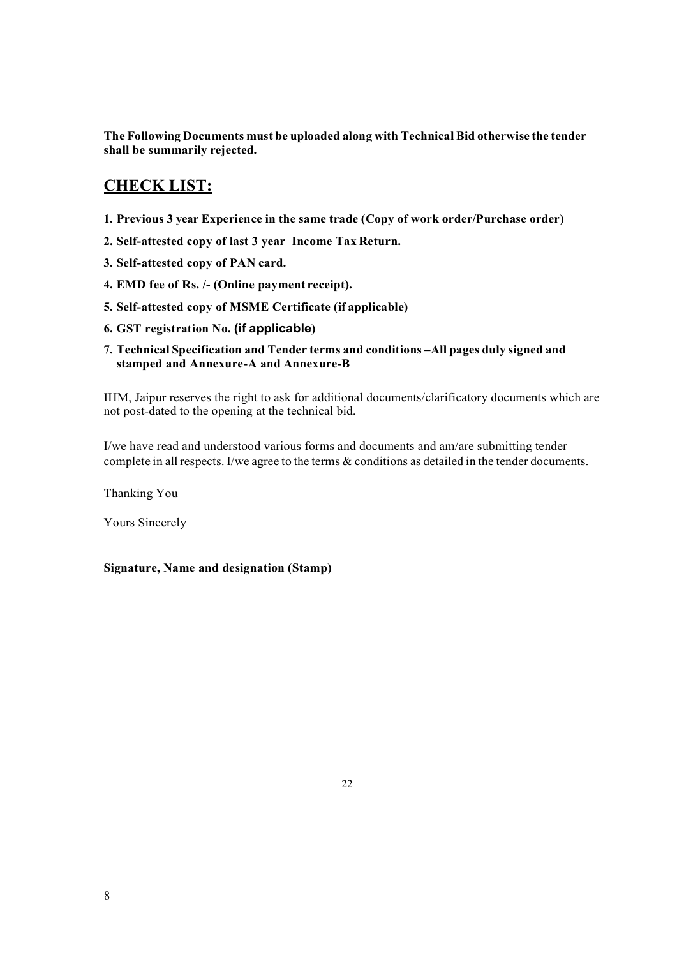The Following Documents must be uploaded along with Technical Bid otherwise the tender shall be summarily rejected.

# CHECK LIST:

- 1. Previous 3 year Experience in the same trade (Copy of work order/Purchase order)
- 2. Self-attested copy of last 3 year Income Tax Return.
- 3. Self-attested copy of PAN card.
- 4. EMD fee of Rs. /- (Online payment receipt).
- 5. Self-attested copy of MSME Certificate (if applicable)
- 6. GST registration No. (if applicable)
- 7. Technical Specification and Tender terms and conditions –All pages duly signed and stamped and Annexure-A and Annexure-B

IHM, Jaipur reserves the right to ask for additional documents/clarificatory documents which are not post-dated to the opening at the technical bid.

I/we have read and understood various forms and documents and am/are submitting tender complete in all respects. I/we agree to the terms & conditions as detailed in the tender documents.

Thanking You

Yours Sincerely

Signature, Name and designation (Stamp)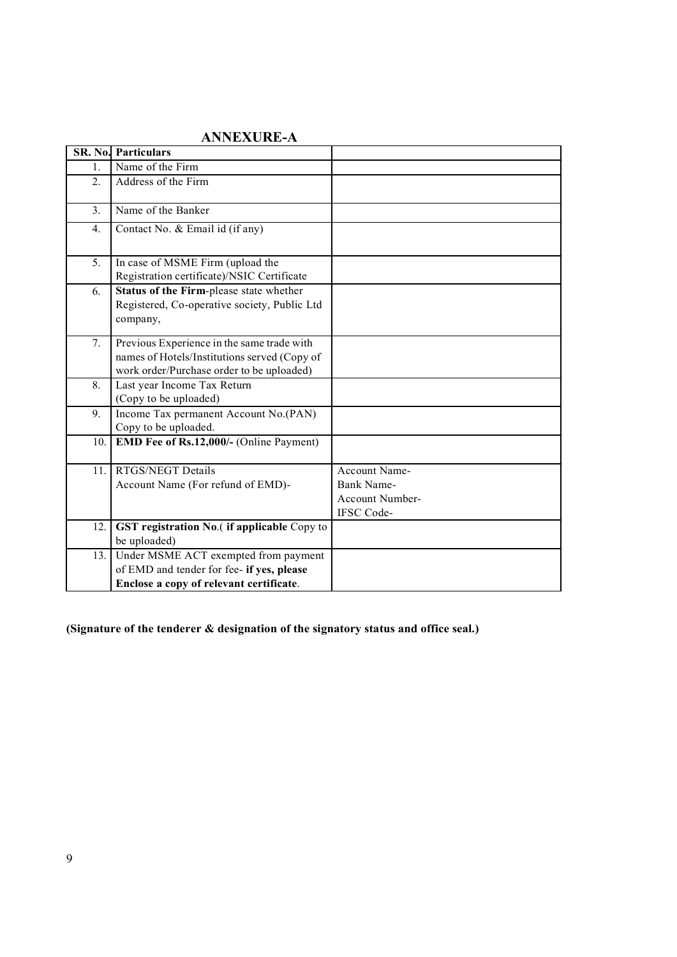|     | $\mathbf{M}$ , $\mathbf{M}$ , $\mathbf{M}$ , $\mathbf{M}$ , $\mathbf{M}$ , $\mathbf{M}$                                                 |                                                              |
|-----|-----------------------------------------------------------------------------------------------------------------------------------------|--------------------------------------------------------------|
|     | <b>SR. No. Particulars</b>                                                                                                              |                                                              |
| 1.  | Name of the Firm                                                                                                                        |                                                              |
| 2.  | Address of the Firm                                                                                                                     |                                                              |
| 3.  | Name of the Banker                                                                                                                      |                                                              |
| 4.  | Contact No. & Email id (if any)                                                                                                         |                                                              |
| 5.  | In case of MSME Firm (upload the<br>Registration certificate)/NSIC Certificate                                                          |                                                              |
| 6.  | Status of the Firm-please state whether<br>Registered, Co-operative society, Public Ltd<br>company,                                     |                                                              |
| 7.  | Previous Experience in the same trade with<br>names of Hotels/Institutions served (Copy of<br>work order/Purchase order to be uploaded) |                                                              |
| 8.  | Last year Income Tax Return<br>(Copy to be uploaded)                                                                                    |                                                              |
| 9.  | Income Tax permanent Account No.(PAN)<br>Copy to be uploaded.                                                                           |                                                              |
| 10. | EMD Fee of Rs.12,000/- (Online Payment)                                                                                                 |                                                              |
| 11. | <b>RTGS/NEGT Details</b><br>Account Name (For refund of EMD)-                                                                           | Account Name-<br>Bank Name-<br>Account Number-<br>IFSC Code- |
| 12. | GST registration No.(if applicable Copy to<br>be uploaded)                                                                              |                                                              |
| 13. | Under MSME ACT exempted from payment<br>of EMD and tender for fee- if yes, please<br>Enclose a copy of relevant certificate.            |                                                              |

## ANNEXURE-A

(Signature of the tenderer & designation of the signatory status and office seal.)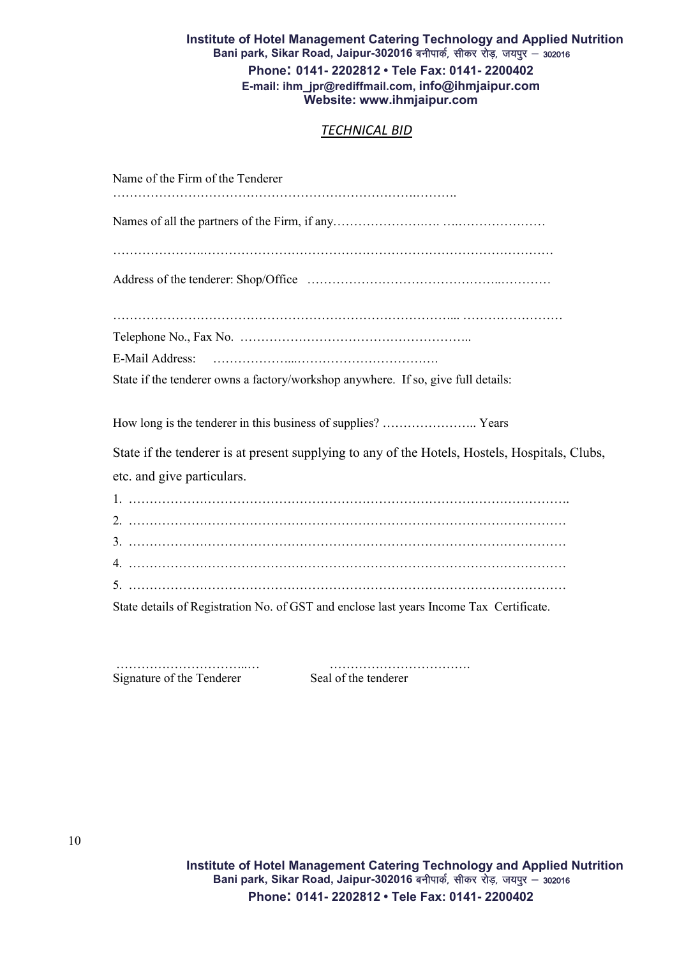#### Institute of Hotel Management Catering Technology and Applied Nutrition Bani park, Sikar Road, Jaipur-302016 बनीपार्क, सीकर रोड़, जयपुर – 302016 Phone: 0141- 2202812 • Tele Fax: 0141- 2200402 E-mail: ihm\_jpr@rediffmail.com, info@ihmjaipur.com Website: www.ihmjaipur.com

### *TECHNICAL BID*

| Name of the Firm of the Tenderer                                                               |
|------------------------------------------------------------------------------------------------|
|                                                                                                |
|                                                                                                |
|                                                                                                |
|                                                                                                |
|                                                                                                |
| E-Mail Address:                                                                                |
| State if the tenderer owns a factory/workshop anywhere. If so, give full details:              |
| How long is the tenderer in this business of supplies?  Years                                  |
| State if the tenderer is at present supplying to any of the Hotels, Hostels, Hospitals, Clubs, |
| etc. and give particulars.                                                                     |
|                                                                                                |
|                                                                                                |
|                                                                                                |
|                                                                                                |
|                                                                                                |
| State details of Registration No. of GST and enclose last years Income Tax Certificate.        |

Signature of the Tenderer Seal of the tenderer

…………………………..… …………………………….